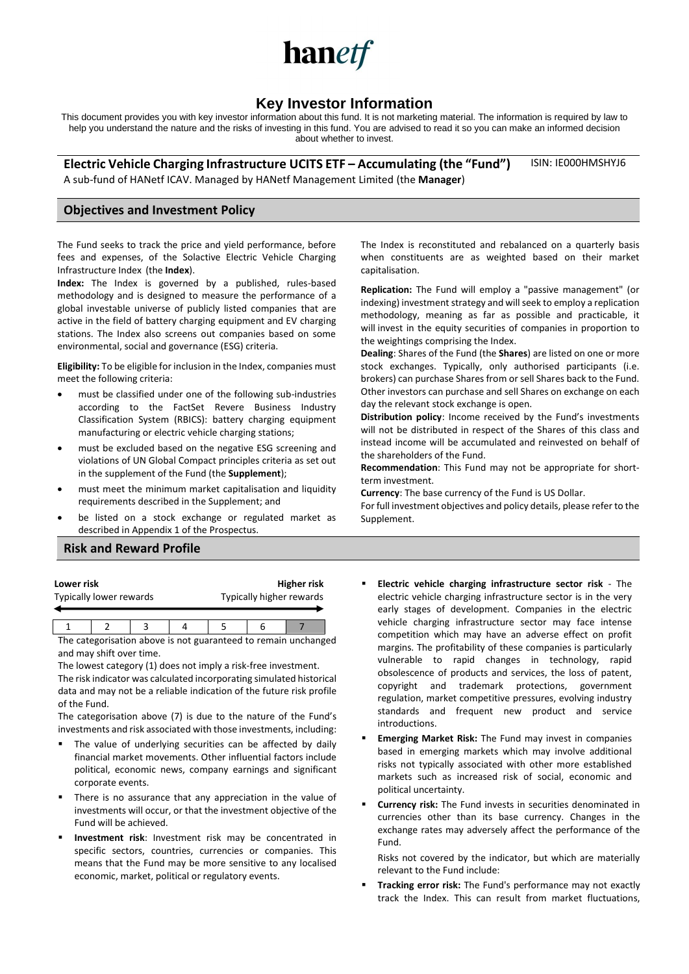

# **Key Investor Information**

This document provides you with key investor information about this fund. It is not marketing material. The information is required by law to help you understand the nature and the risks of investing in this fund. You are advised to read it so you can make an informed decision about whether to invest.

**Electric Vehicle Charging Infrastructure UCITS ETF – Accumulating (the "Fund")** A sub-fund of HANetf ICAV. Managed by HANetf Management Limited (the **Manager**) ISIN: IE000HMSHYJ6

### **Objectives and Investment Policy**

The Fund seeks to track the price and yield performance, before fees and expenses, of the Solactive Electric Vehicle Charging Infrastructure Index (the **Index**).

**Index:** The Index is governed by a published, rules-based methodology and is designed to measure the performance of a global investable universe of publicly listed companies that are active in the field of battery charging equipment and EV charging stations. The Index also screens out companies based on some environmental, social and governance (ESG) criteria.

**Eligibility:** To be eligible for inclusion in the Index, companies must meet the following criteria:

- must be classified under one of the following sub-industries according to the FactSet Revere Business Industry Classification System (RBICS): battery charging equipment manufacturing or electric vehicle charging stations;
- must be excluded based on the negative ESG screening and violations of UN Global Compact principles criteria as set out in the supplement of the Fund (the **Supplement**);
- must meet the minimum market capitalisation and liquidity requirements described in the Supplement; and
- be listed on a stock exchange or regulated market as described in Appendix 1 of the Prospectus.

The Index is reconstituted and rebalanced on a quarterly basis when constituents are as weighted based on their market capitalisation.

**Replication:** The Fund will employ a "passive management" (or indexing) investment strategy and will seek to employ a replication methodology, meaning as far as possible and practicable, it will invest in the equity securities of companies in proportion to the weightings comprising the Index.

**Dealing**: Shares of the Fund (the **Shares**) are listed on one or more stock exchanges. Typically, only authorised participants (i.e. brokers) can purchase Shares from or sell Shares back to the Fund. Other investors can purchase and sell Shares on exchange on each day the relevant stock exchange is open.

**Distribution policy**: Income received by the Fund's investments will not be distributed in respect of the Shares of this class and instead income will be accumulated and reinvested on behalf of the shareholders of the Fund.

**Recommendation**: This Fund may not be appropriate for shortterm investment.

**Currency**: The base currency of the Fund is US Dollar.

For full investment objectives and policy details, please refer to the Supplement.

### **Risk and Reward Profile**

| Lower risk              | <b>Higher risk</b>       |
|-------------------------|--------------------------|
| Typically lower rewards | Typically higher rewards |
|                         |                          |

1 2 3 4 5 6 7 The categorisation above is not guaranteed to remain unchanged and may shift over time.

The lowest category (1) does not imply a risk-free investment. The risk indicator was calculated incorporating simulated historical data and may not be a reliable indication of the future risk profile of the Fund.

The categorisation above (7) is due to the nature of the Fund's investments and risk associated with those investments, including:

- The value of underlying securities can be affected by daily financial market movements. Other influential factors include political, economic news, company earnings and significant corporate events.
- There is no assurance that any appreciation in the value of investments will occur, or that the investment objective of the Fund will be achieved.
- **Investment risk**: Investment risk may be concentrated in specific sectors, countries, currencies or companies. This means that the Fund may be more sensitive to any localised economic, market, political or regulatory events.
- **Electric vehicle charging infrastructure sector risk** The electric vehicle charging infrastructure sector is in the very early stages of development. Companies in the electric vehicle charging infrastructure sector may face intense competition which may have an adverse effect on profit margins. The profitability of these companies is particularly vulnerable to rapid changes in technology, rapid obsolescence of products and services, the loss of patent, copyright and trademark protections, government regulation, market competitive pressures, evolving industry standards and frequent new product and service introductions.
- **Emerging Market Risk:** The Fund may invest in companies based in emerging markets which may involve additional risks not typically associated with other more established markets such as increased risk of social, economic and political uncertainty.
- **Currency risk:** The Fund invests in securities denominated in currencies other than its base currency. Changes in the exchange rates may adversely affect the performance of the Fund.

Risks not covered by the indicator, but which are materially relevant to the Fund include:

Tracking error risk: The Fund's performance may not exactly track the Index. This can result from market fluctuations,